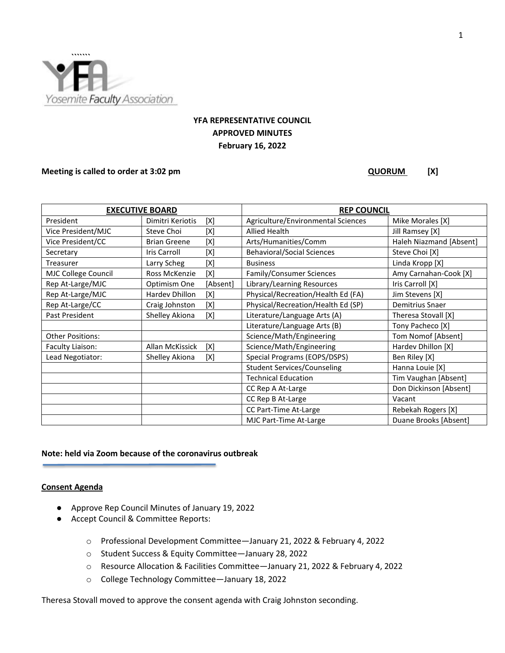

# **YFA REPRESENTATIVE COUNCIL APPROVED MINUTES February 16, 2022**

#### **Meeting is called to order at 3:02 pm QUORUM** [X]

| <b>EXECUTIVE BOARD</b>  |                       |          | <b>REP COUNCIL</b>                 |                         |
|-------------------------|-----------------------|----------|------------------------------------|-------------------------|
| President               | Dimitri Keriotis      | [X]      | Agriculture/Environmental Sciences | Mike Morales [X]        |
| Vice President/MJC      | Steve Choi            | [X]      | <b>Allied Health</b>               | Jill Ramsey [X]         |
| Vice President/CC       | <b>Brian Greene</b>   | [X]      | Arts/Humanities/Comm               | Haleh Niazmand [Absent] |
| Secretary               | <b>Iris Carroll</b>   | [X]      | <b>Behavioral/Social Sciences</b>  | Steve Choi [X]          |
| Treasurer               | Larry Scheg           | [X]      | <b>Business</b>                    | Linda Kropp [X]         |
| MJC College Council     | Ross McKenzie         | [X]      | Family/Consumer Sciences           | Amy Carnahan-Cook [X]   |
| Rep At-Large/MJC        | Optimism One          | [Absent] | Library/Learning Resources         | Iris Carroll [X]        |
| Rep At-Large/MJC        | <b>Hardev Dhillon</b> | [X]      | Physical/Recreation/Health Ed (FA) | Jim Stevens [X]         |
| Rep At-Large/CC         | Craig Johnston        | [X]      | Physical/Recreation/Health Ed (SP) | Demitrius Snaer         |
| Past President          | Shelley Akiona        | [X]      | Literature/Language Arts (A)       | Theresa Stovall [X]     |
|                         |                       |          | Literature/Language Arts (B)       | Tony Pacheco [X]        |
| <b>Other Positions:</b> |                       |          | Science/Math/Engineering           | Tom Nomof [Absent]      |
| Faculty Liaison:        | Allan McKissick       | [X]      | Science/Math/Engineering           | Hardev Dhillon [X]      |
| Lead Negotiator:        | Shelley Akiona        | [X]      | Special Programs (EOPS/DSPS)       | Ben Riley [X]           |
|                         |                       |          | <b>Student Services/Counseling</b> | Hanna Louie [X]         |
|                         |                       |          | <b>Technical Education</b>         | Tim Vaughan [Absent]    |
|                         |                       |          | CC Rep A At-Large                  | Don Dickinson [Absent]  |
|                         |                       |          | CC Rep B At-Large                  | Vacant                  |
|                         |                       |          | CC Part-Time At-Large              | Rebekah Rogers [X]      |
|                         |                       |          | MJC Part-Time At-Large             | Duane Brooks [Absent]   |

# **Note: held via Zoom because of the coronavirus outbreak**

#### **Consent Agenda**

- Approve Rep Council Minutes of January 19, 2022
- Accept Council & Committee Reports:
	- o Professional Development Committee—January 21, 2022 & February 4, 2022
	- o Student Success & Equity Committee—January 28, 2022
	- o Resource Allocation & Facilities Committee—January 21, 2022 & February 4, 2022
	- o College Technology Committee—January 18, 2022

Theresa Stovall moved to approve the consent agenda with Craig Johnston seconding.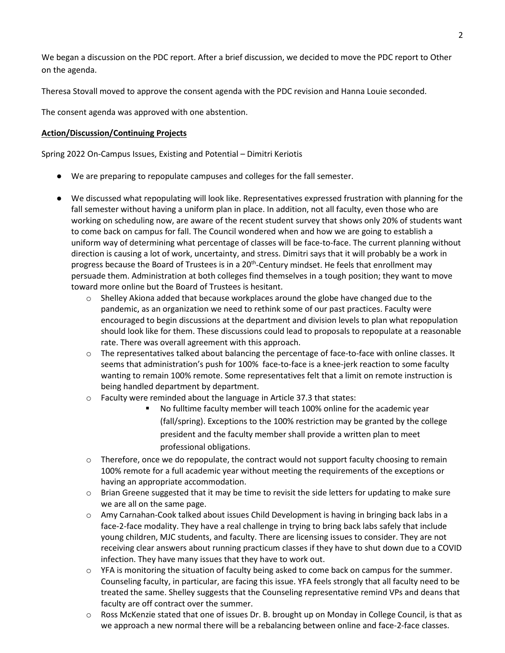We began a discussion on the PDC report. After a brief discussion, we decided to move the PDC report to Other on the agenda.

Theresa Stovall moved to approve the consent agenda with the PDC revision and Hanna Louie seconded.

The consent agenda was approved with one abstention.

# **Action/Discussion/Continuing Projects**

Spring 2022 On-Campus Issues, Existing and Potential – Dimitri Keriotis

- We are preparing to repopulate campuses and colleges for the fall semester.
- We discussed what repopulating will look like. Representatives expressed frustration with planning for the fall semester without having a uniform plan in place. In addition, not all faculty, even those who are working on scheduling now, are aware of the recent student survey that shows only 20% of students want to come back on campus for fall. The Council wondered when and how we are going to establish a uniform way of determining what percentage of classes will be face-to-face. The current planning without direction is causing a lot of work, uncertainty, and stress. Dimitri says that it will probably be a work in progress because the Board of Trustees is in a  $20<sup>th</sup>$ -Century mindset. He feels that enrollment may persuade them. Administration at both colleges find themselves in a tough position; they want to move toward more online but the Board of Trustees is hesitant.
	- $\circ$  Shelley Akiona added that because workplaces around the globe have changed due to the pandemic, as an organization we need to rethink some of our past practices. Faculty were encouraged to begin discussions at the department and division levels to plan what repopulation should look like for them. These discussions could lead to proposals to repopulate at a reasonable rate. There was overall agreement with this approach.
	- $\circ$  The representatives talked about balancing the percentage of face-to-face with online classes. It seems that administration's push for 100% face-to-face is a knee-jerk reaction to some faculty wanting to remain 100% remote. Some representatives felt that a limit on remote instruction is being handled department by department.
	- o Faculty were reminded about the language in Article 37.3 that states:
		- No fulltime faculty member will teach 100% online for the academic year (fall/spring). Exceptions to the 100% restriction may be granted by the college president and the faculty member shall provide a written plan to meet professional obligations.
	- o Therefore, once we do repopulate, the contract would not support faculty choosing to remain 100% remote for a full academic year without meeting the requirements of the exceptions or having an appropriate accommodation.
	- $\circ$  Brian Greene suggested that it may be time to revisit the side letters for updating to make sure we are all on the same page.
	- $\circ$  Amy Carnahan-Cook talked about issues Child Development is having in bringing back labs in a face-2-face modality. They have a real challenge in trying to bring back labs safely that include young children, MJC students, and faculty. There are licensing issues to consider. They are not receiving clear answers about running practicum classes if they have to shut down due to a COVID infection. They have many issues that they have to work out.
	- $\circ$  YFA is monitoring the situation of faculty being asked to come back on campus for the summer. Counseling faculty, in particular, are facing this issue. YFA feels strongly that all faculty need to be treated the same. Shelley suggests that the Counseling representative remind VPs and deans that faculty are off contract over the summer.
	- o Ross McKenzie stated that one of issues Dr. B. brought up on Monday in College Council, is that as we approach a new normal there will be a rebalancing between online and face-2-face classes.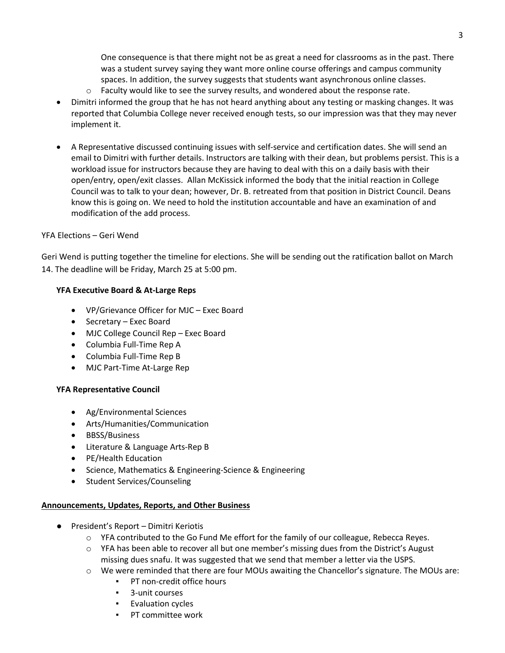One consequence is that there might not be as great a need for classrooms as in the past. There was a student survey saying they want more online course offerings and campus community spaces. In addition, the survey suggests that students want asynchronous online classes.

- $\circ$  Faculty would like to see the survey results, and wondered about the response rate.
- Dimitri informed the group that he has not heard anything about any testing or masking changes. It was reported that Columbia College never received enough tests, so our impression was that they may never implement it.
- A Representative discussed continuing issues with self-service and certification dates. She will send an email to Dimitri with further details. Instructors are talking with their dean, but problems persist. This is a workload issue for instructors because they are having to deal with this on a daily basis with their open/entry, open/exit classes. Allan McKissick informed the body that the initial reaction in College Council was to talk to your dean; however, Dr. B. retreated from that position in District Council. Deans know this is going on. We need to hold the institution accountable and have an examination of and modification of the add process.

# YFA Elections – Geri Wend

Geri Wend is putting together the timeline for elections. She will be sending out the ratification ballot on March 14. The deadline will be Friday, March 25 at 5:00 pm.

# **YFA Executive Board & At-Large Reps**

- VP/Grievance Officer for MJC Exec Board
- Secretary Exec Board
- MJC College Council Rep Exec Board
- Columbia Full-Time Rep A
- Columbia Full-Time Rep B
- MJC Part-Time At-Large Rep

# **YFA Representative Council**

- Ag/Environmental Sciences
- Arts/Humanities/Communication
- BBSS/Business
- Literature & Language Arts-Rep B
- PE/Health Education
- Science, Mathematics & Engineering-Science & Engineering
- Student Services/Counseling

# **Announcements, Updates, Reports, and Other Business**

- President's Report Dimitri Keriotis
	- o YFA contributed to the Go Fund Me effort for the family of our colleague, Rebecca Reyes.
	- o YFA has been able to recover all but one member's missing dues from the District's August missing dues snafu. It was suggested that we send that member a letter via the USPS.
	- o We were reminded that there are four MOUs awaiting the Chancellor's signature. The MOUs are:
		- PT non-credit office hours
			- 3-unit courses
			- Evaluation cycles
			- PT committee work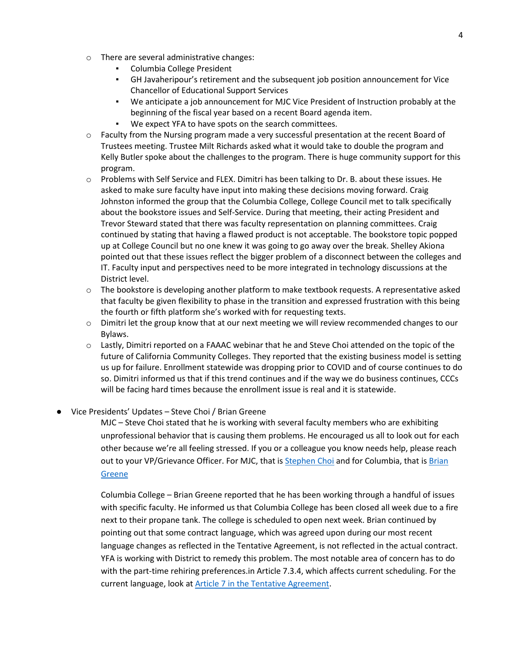- o There are several administrative changes:
	- Columbia College President
	- GH Javaheripour's retirement and the subsequent job position announcement for Vice Chancellor of Educational Support Services
	- We anticipate a job announcement for MJC Vice President of Instruction probably at the beginning of the fiscal year based on a recent Board agenda item.
	- We expect YFA to have spots on the search committees.
- $\circ$  Faculty from the Nursing program made a very successful presentation at the recent Board of Trustees meeting. Trustee Milt Richards asked what it would take to double the program and Kelly Butler spoke about the challenges to the program. There is huge community support for this program.
- o Problems with Self Service and FLEX. Dimitri has been talking to Dr. B. about these issues. He asked to make sure faculty have input into making these decisions moving forward. Craig Johnston informed the group that the Columbia College, College Council met to talk specifically about the bookstore issues and Self-Service. During that meeting, their acting President and Trevor Steward stated that there was faculty representation on planning committees. Craig continued by stating that having a flawed product is not acceptable. The bookstore topic popped up at College Council but no one knew it was going to go away over the break. Shelley Akiona pointed out that these issues reflect the bigger problem of a disconnect between the colleges and IT. Faculty input and perspectives need to be more integrated in technology discussions at the District level.
- $\circ$  The bookstore is developing another platform to make textbook requests. A representative asked that faculty be given flexibility to phase in the transition and expressed frustration with this being the fourth or fifth platform she's worked with for requesting texts.
- $\circ$  Dimitri let the group know that at our next meeting we will review recommended changes to our Bylaws.
- o Lastly, Dimitri reported on a FAAAC webinar that he and Steve Choi attended on the topic of the future of California Community Colleges. They reported that the existing business model is setting us up for failure. Enrollment statewide was dropping prior to COVID and of course continues to do so. Dimitri informed us that if this trend continues and if the way we do business continues, CCCs will be facing hard times because the enrollment issue is real and it is statewide.
- Vice Presidents' Updates Steve Choi / Brian Greene

MJC – Steve Choi stated that he is working with several faculty members who are exhibiting unprofessional behavior that is causing them problems. He encouraged us all to look out for each other because we're all feeling stressed. If you or a colleague you know needs help, please reach out to your VP/Grievance Officer. For MJC, that i[s Stephen Choi](mailto:chois@yosemite.edu) and for Columbia, that is Brian [Greene](mailto:greeneb@yosemite.edu)

Columbia College – Brian Greene reported that he has been working through a handful of issues with specific faculty. He informed us that Columbia College has been closed all week due to a fire next to their propane tank. The college is scheduled to open next week. Brian continued by pointing out that some contract language, which was agreed upon during our most recent language changes as reflected in the Tentative Agreement, is not reflected in the actual contract. YFA is working with District to remedy this problem. The most notable area of concern has to do with the part-time rehiring preferences.in Article 7.3.4, which affects current scheduling. For the current language, look a[t Article 7 in the Tentative Agreement.](https://4103ffc3-f8d0-4eff-81f9-ef31776dae4e.usrfiles.com/ugd/4103ff_172229feb52f4b768191c417598bedfb.pdf)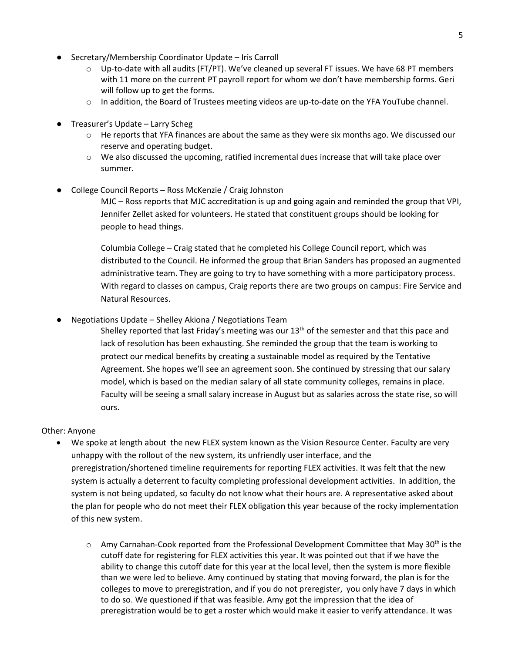- Secretary/Membership Coordinator Update Iris Carroll
	- $\circ$  Up-to-date with all audits (FT/PT). We've cleaned up several FT issues. We have 68 PT members with 11 more on the current PT payroll report for whom we don't have membership forms. Geri will follow up to get the forms.
	- $\circ$  In addition, the Board of Trustees meeting videos are up-to-date on the YFA YouTube channel.
- Treasurer's Update Larry Scheg
	- $\circ$  He reports that YFA finances are about the same as they were six months ago. We discussed our reserve and operating budget.
	- o We also discussed the upcoming, ratified incremental dues increase that will take place over summer.
- College Council Reports Ross McKenzie / Craig Johnston

MJC – Ross reports that MJC accreditation is up and going again and reminded the group that VPI, Jennifer Zellet asked for volunteers. He stated that constituent groups should be looking for people to head things.

Columbia College – Craig stated that he completed his College Council report, which was distributed to the Council. He informed the group that Brian Sanders has proposed an augmented administrative team. They are going to try to have something with a more participatory process. With regard to classes on campus, Craig reports there are two groups on campus: Fire Service and Natural Resources.

Negotiations Update – Shelley Akiona / Negotiations Team

Shelley reported that last Friday's meeting was our 13<sup>th</sup> of the semester and that this pace and lack of resolution has been exhausting. She reminded the group that the team is working to protect our medical benefits by creating a sustainable model as required by the Tentative Agreement. She hopes we'll see an agreement soon. She continued by stressing that our salary model, which is based on the median salary of all state community colleges, remains in place. Faculty will be seeing a small salary increase in August but as salaries across the state rise, so will ours.

#### Other: Anyone

- We spoke at length about the new FLEX system known as the Vision Resource Center. Faculty are very unhappy with the rollout of the new system, its unfriendly user interface, and the preregistration/shortened timeline requirements for reporting FLEX activities. It was felt that the new system is actually a deterrent to faculty completing professional development activities. In addition, the system is not being updated, so faculty do not know what their hours are. A representative asked about the plan for people who do not meet their FLEX obligation this year because of the rocky implementation of this new system.
	- $\circ$  Amy Carnahan-Cook reported from the Professional Development Committee that May 30<sup>th</sup> is the cutoff date for registering for FLEX activities this year. It was pointed out that if we have the ability to change this cutoff date for this year at the local level, then the system is more flexible than we were led to believe. Amy continued by stating that moving forward, the plan is for the colleges to move to preregistration, and if you do not preregister, you only have 7 days in which to do so. We questioned if that was feasible. Amy got the impression that the idea of preregistration would be to get a roster which would make it easier to verify attendance. It was